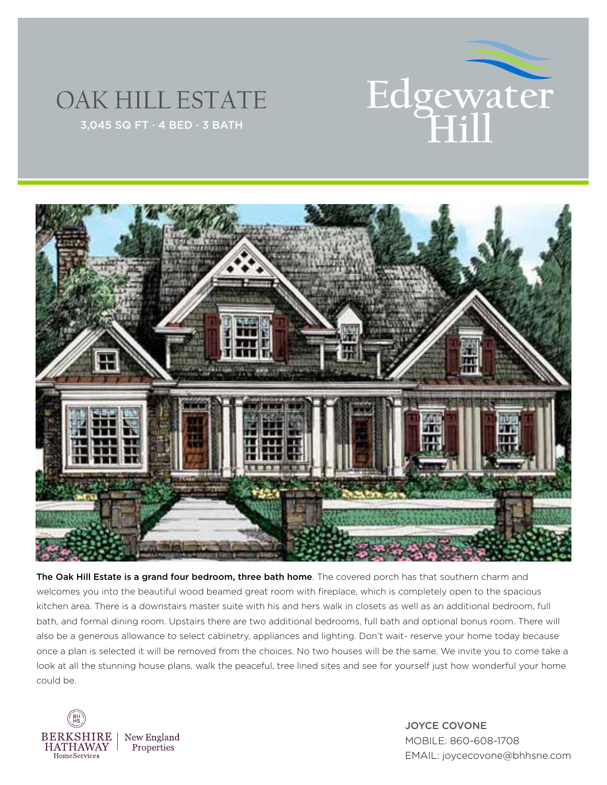

## OAK HILL ESTATE



The Oak Hill Estate is a grand four bedroom, three bath home. The covered porch has that southern charm and welcomes you into the beautiful wood beamed great room with fireplace, which is completely open to the spacious kitchen area. There is a downstairs master suite with his and hers walk in closets as well as an additional bedroom, full bath, and formal dining room. Upstairs there are two additional bedrooms, full bath and optional bonus room. There will also be a generous allowance to select cabinetry, appliances and lighting. Don't wait- reserve your home today because once a plan is selected it will be removed from the choices. No two houses will be the same. We invite you to come take a look at all the stunning house plans, walk the peaceful, tree lined sites and see for yourself just how wonderful your home could be.



JOYCE COVONE MOBILE: 860-608-1708 EMAIL: joycecovone@bhhsne.com